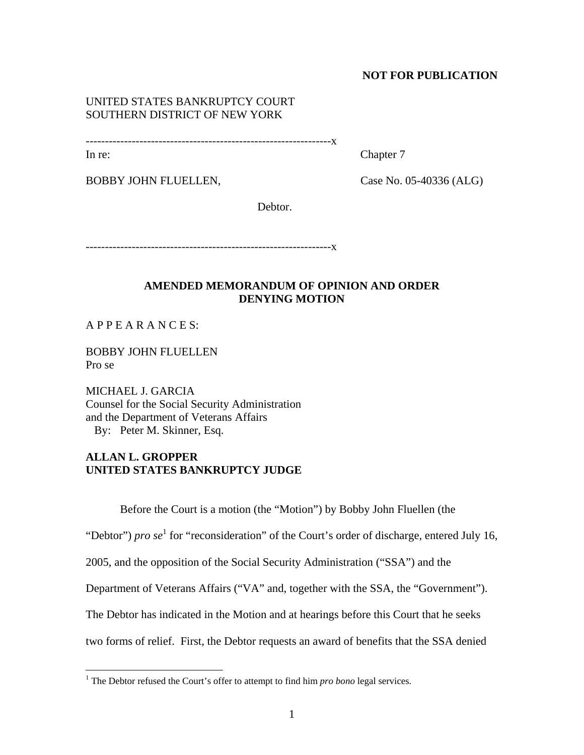### **NOT FOR PUBLICATION**

## UNITED STATES BANKRUPTCY COURT SOUTHERN DISTRICT OF NEW YORK

----------------------------------------------------------------x

In re: Chapter 7

BOBBY JOHN FLUELLEN, Case No. 05-40336 (ALG)

Debtor.

----------------------------------------------------------------x

## **AMENDED MEMORANDUM OF OPINION AND ORDER DENYING MOTION**

 $APPE AR ANCES$ 

BOBBY JOHN FLUELLEN Pro se

MICHAEL J. GARCIA Counsel for the Social Security Administration and the Department of Veterans Affairs By: Peter M. Skinner, Esq.

# **ALLAN L. GROPPER UNITED STATES BANKRUPTCY JUDGE**

Before the Court is a motion (the "Motion") by Bobby John Fluellen (the

"Debtor") *pro* se<sup>1</sup> for "reconsideration" of the Court's order of discharge, entered July 16,

2005, and the opposition of the Social Security Administration ("SSA") and the

Department of Veterans Affairs ("VA" and, together with the SSA, the "Government").

The Debtor has indicated in the Motion and at hearings before this Court that he seeks

two forms of relief. First, the Debtor requests an award of benefits that the SSA denied

 1 The Debtor refused the Court's offer to attempt to find him *pro bono* legal services.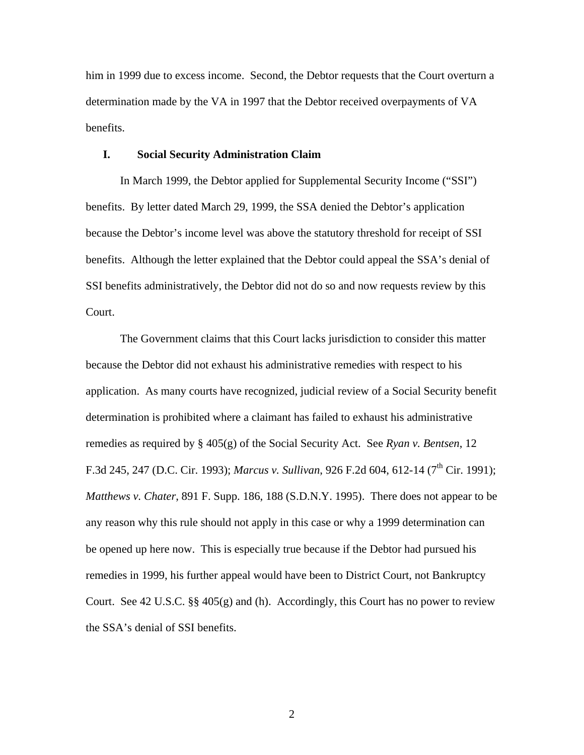him in 1999 due to excess income. Second, the Debtor requests that the Court overturn a determination made by the VA in 1997 that the Debtor received overpayments of VA benefits.

### **I. Social Security Administration Claim**

In March 1999, the Debtor applied for Supplemental Security Income ("SSI") benefits. By letter dated March 29, 1999, the SSA denied the Debtor's application because the Debtor's income level was above the statutory threshold for receipt of SSI benefits. Although the letter explained that the Debtor could appeal the SSA's denial of SSI benefits administratively, the Debtor did not do so and now requests review by this Court.

The Government claims that this Court lacks jurisdiction to consider this matter because the Debtor did not exhaust his administrative remedies with respect to his application. As many courts have recognized, judicial review of a Social Security benefit determination is prohibited where a claimant has failed to exhaust his administrative remedies as required by § 405(g) of the Social Security Act. See *Ryan v. Bentsen*, 12 F.3d 245, 247 (D.C. Cir. 1993); *Marcus v. Sullivan*, 926 F.2d 604, 612-14 (7<sup>th</sup> Cir. 1991); *Matthews v. Chater*, 891 F. Supp. 186, 188 (S.D.N.Y. 1995). There does not appear to be any reason why this rule should not apply in this case or why a 1999 determination can be opened up here now. This is especially true because if the Debtor had pursued his remedies in 1999, his further appeal would have been to District Court, not Bankruptcy Court. See 42 U.S.C.  $\S$  405(g) and (h). Accordingly, this Court has no power to review the SSA's denial of SSI benefits.

2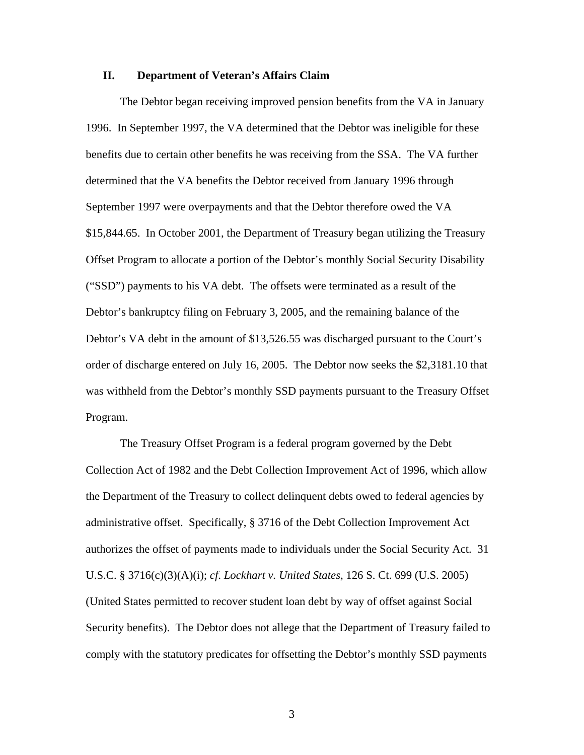#### **II. Department of Veteran's Affairs Claim**

The Debtor began receiving improved pension benefits from the VA in January 1996. In September 1997, the VA determined that the Debtor was ineligible for these benefits due to certain other benefits he was receiving from the SSA. The VA further determined that the VA benefits the Debtor received from January 1996 through September 1997 were overpayments and that the Debtor therefore owed the VA \$15,844.65. In October 2001, the Department of Treasury began utilizing the Treasury Offset Program to allocate a portion of the Debtor's monthly Social Security Disability ("SSD") payments to his VA debt. The offsets were terminated as a result of the Debtor's bankruptcy filing on February 3, 2005, and the remaining balance of the Debtor's VA debt in the amount of \$13,526.55 was discharged pursuant to the Court's order of discharge entered on July 16, 2005. The Debtor now seeks the \$2,3181.10 that was withheld from the Debtor's monthly SSD payments pursuant to the Treasury Offset Program.

The Treasury Offset Program is a federal program governed by the Debt Collection Act of 1982 and the Debt Collection Improvement Act of 1996, which allow the Department of the Treasury to collect delinquent debts owed to federal agencies by administrative offset. Specifically, § 3716 of the Debt Collection Improvement Act authorizes the offset of payments made to individuals under the Social Security Act. 31 U.S.C. § 3716(c)(3)(A)(i); *cf*. *Lockhart v. United States*, 126 S. Ct. 699 (U.S. 2005) (United States permitted to recover student loan debt by way of offset against Social Security benefits). The Debtor does not allege that the Department of Treasury failed to comply with the statutory predicates for offsetting the Debtor's monthly SSD payments

3